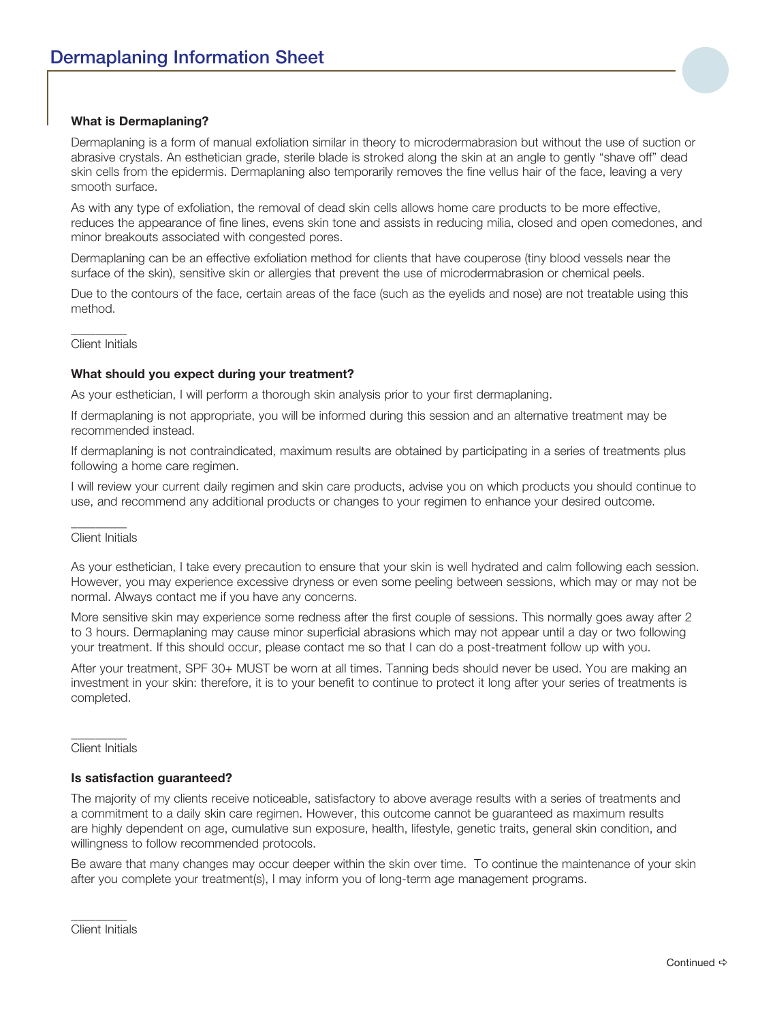# **What is Dermaplaning?**

Dermaplaning is a form of manual exfoliation similar in theory to microdermabrasion but without the use of suction or abrasive crystals. An esthetician grade, sterile blade is stroked along the skin at an angle to gently "shave off" dead skin cells from the epidermis. Dermaplaning also temporarily removes the fine vellus hair of the face, leaving a very smooth surface.

As with any type of exfoliation, the removal of dead skin cells allows home care products to be more effective, reduces the appearance of fine lines, evens skin tone and assists in reducing milia, closed and open comedones, and minor breakouts associated with congested pores.

Dermaplaning can be an effective exfoliation method for clients that have couperose (tiny blood vessels near the surface of the skin), sensitive skin or allergies that prevent the use of microdermabrasion or chemical peels.

Due to the contours of the face, certain areas of the face (such as the eyelids and nose) are not treatable using this method.

#### \_\_\_\_\_\_\_\_\_ Client Initials

### **What should you expect during your treatment?**

As your esthetician, I will perform a thorough skin analysis prior to your first dermaplaning.

If dermaplaning is not appropriate, you will be informed during this session and an alternative treatment may be recommended instead.

If dermaplaning is not contraindicated, maximum results are obtained by participating in a series of treatments plus following a home care regimen.

I will review your current daily regimen and skin care products, advise you on which products you should continue to use, and recommend any additional products or changes to your regimen to enhance your desired outcome.

#### \_\_\_\_\_\_\_\_\_ Client Initials

As your esthetician, I take every precaution to ensure that your skin is well hydrated and calm following each session. However, you may experience excessive dryness or even some peeling between sessions, which may or may not be normal. Always contact me if you have any concerns.

More sensitive skin may experience some redness after the first couple of sessions. This normally goes away after 2 to 3 hours. Dermaplaning may cause minor superficial abrasions which may not appear until a day or two following your treatment. If this should occur, please contact me so that I can do a post-treatment follow up with you.

After your treatment, SPF 30+ MUST be worn at all times. Tanning beds should never be used. You are making an investment in your skin: therefore, it is to your benefit to continue to protect it long after your series of treatments is completed.

#### $\overline{\phantom{a}}$ Client Initials

# **Is satisfaction guaranteed?**

The majority of my clients receive noticeable, satisfactory to above average results with a series of treatments and a commitment to a daily skin care regimen. However, this outcome cannot be quaranteed as maximum results are highly dependent on age, cumulative sun exposure, health, lifestyle, genetic traits, general skin condition, and willingness to follow recommended protocols.

Be aware that many changes may occur deeper within the skin over time. To continue the maintenance of your skin after you complete your treatment(s), I may inform you of long-term age management programs.

\_\_\_\_\_\_\_\_\_ Client Initials